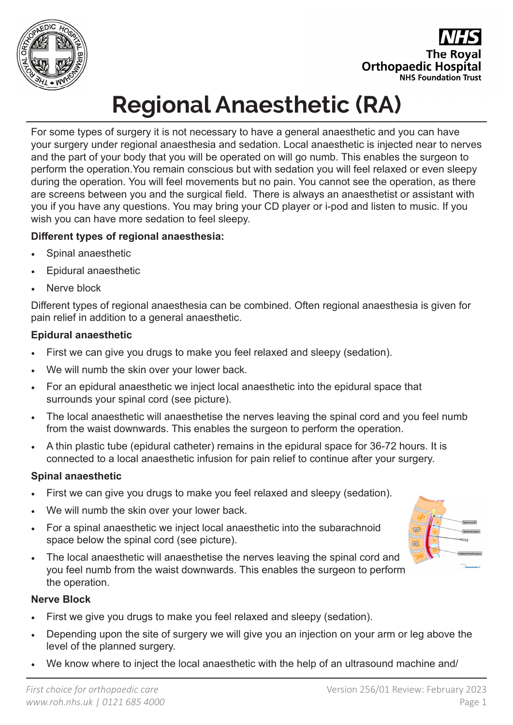

**The Roval Orthopaedic Hospital NHS Foundation Trust** 

# **Regional Anaesthetic (RA)**

For some types of surgery it is not necessary to have a general anaesthetic and you can have your surgery under regional anaesthesia and sedation. Local anaesthetic is injected near to nerves and the part of your body that you will be operated on will go numb. This enables the surgeon to perform the operation.You remain conscious but with sedation you will feel relaxed or even sleepy during the operation. You will feel movements but no pain. You cannot see the operation, as there are screens between you and the surgical field. There is always an anaesthetist or assistant with you if you have any questions. You may bring your CD player or i-pod and listen to music. If you wish you can have more sedation to feel sleepy.

### **Different types of regional anaesthesia:**

- Spinal anaesthetic
- Epidural anaesthetic
- Nerve block

Different types of regional anaesthesia can be combined. Often regional anaesthesia is given for pain relief in addition to a general anaesthetic.

### **Epidural anaesthetic**

- First we can give you drugs to make you feel relaxed and sleepy (sedation).
- We will numb the skin over your lower back.
- For an epidural anaesthetic we inject local anaesthetic into the epidural space that surrounds your spinal cord (see picture).
- The local anaesthetic will anaesthetise the nerves leaving the spinal cord and you feel numb from the waist downwards. This enables the surgeon to perform the operation.
- A thin plastic tube (epidural catheter) remains in the epidural space for 36-72 hours. It is connected to a local anaesthetic infusion for pain relief to continue after your surgery.

### **Spinal anaesthetic**

- First we can give you drugs to make you feel relaxed and sleepy (sedation).
- We will numb the skin over your lower back.
- For a spinal anaesthetic we inject local anaesthetic into the subarachnoid space below the spinal cord (see picture).
- The local anaesthetic will anaesthetise the nerves leaving the spinal cord and you feel numb from the waist downwards. This enables the surgeon to perform the operation.

### **Nerve Block**

- First we give you drugs to make you feel relaxed and sleepy (sedation).
- Depending upon the site of surgery we will give you an injection on your arm or leg above the level of the planned surgery.
- We know where to inject the local anaesthetic with the help of an ultrasound machine and/

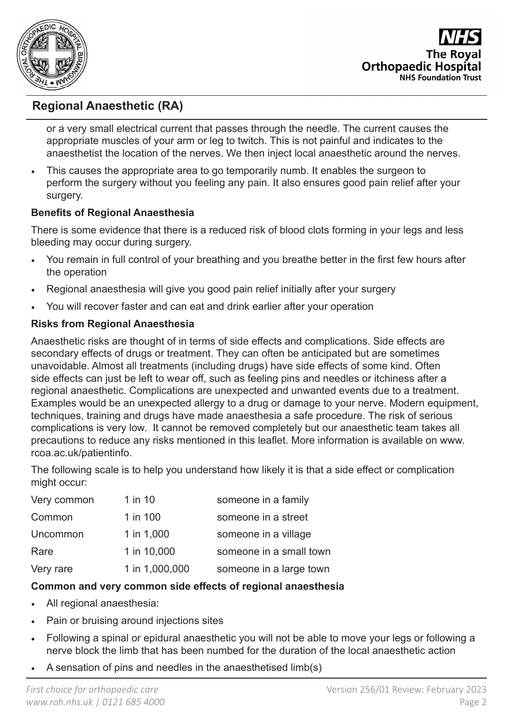

**The Roval Orthopaedic Hospital NHS Foundation Trust** 

## **Regional Anaesthetic (RA)**

or a very small electrical current that passes through the needle. The current causes the appropriate muscles of your arm or leg to twitch. This is not painful and indicates to the anaesthetist the location of the nerves. We then inject local anaesthetic around the nerves.

• This causes the appropriate area to go temporarily numb. It enables the surgeon to perform the surgery without you feeling any pain. It also ensures good pain relief after your surgery.

#### **Benefits of Regional Anaesthesia**

There is some evidence that there is a reduced risk of blood clots forming in your legs and less bleeding may occur during surgery.

- You remain in full control of your breathing and you breathe better in the first few hours after the operation
- Regional anaesthesia will give you good pain relief initially after your surgery
- You will recover faster and can eat and drink earlier after your operation

### **Risks from Regional Anaesthesia**

Anaesthetic risks are thought of in terms of side effects and complications. Side effects are secondary effects of drugs or treatment. They can often be anticipated but are sometimes unavoidable. Almost all treatments (including drugs) have side effects of some kind. Often side effects can just be left to wear off, such as feeling pins and needles or itchiness after a regional anaesthetic. Complications are unexpected and unwanted events due to a treatment. Examples would be an unexpected allergy to a drug or damage to your nerve. Modern equipment, techniques, training and drugs have made anaesthesia a safe procedure. The risk of serious complications is very low. It cannot be removed completely but our anaesthetic team takes all precautions to reduce any risks mentioned in this leaflet. More information is available on www. rcoa.ac.uk/patientinfo.

The following scale is to help you understand how likely it is that a side effect or complication might occur:

| Very common | 1 in 10        | someone in a family     |
|-------------|----------------|-------------------------|
| Common      | 1 in 100       | someone in a street     |
| Uncommon    | 1 in 1,000     | someone in a village    |
| Rare        | 1 in 10,000    | someone in a small town |
| Very rare   | 1 in 1,000,000 | someone in a large town |

### **Common and very common side effects of regional anaesthesia**

- All regional anaesthesia:
- Pain or bruising around injections sites
- Following a spinal or epidural anaesthetic you will not be able to move your legs or following a nerve block the limb that has been numbed for the duration of the local anaesthetic action
- A sensation of pins and needles in the anaesthetised limb(s)